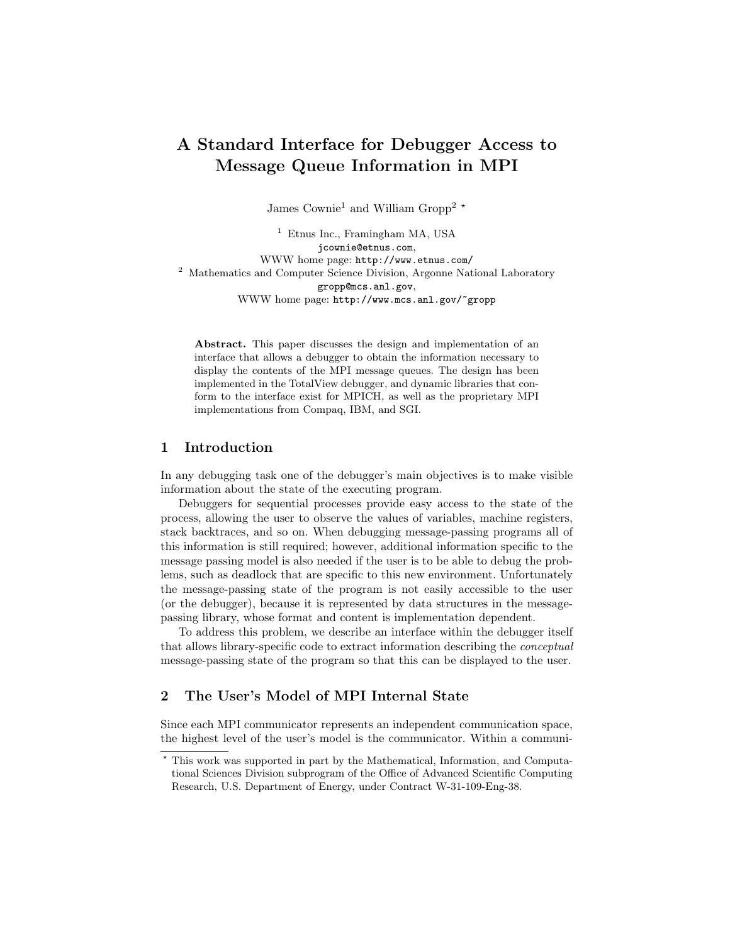# A Standard Interface for Debugger Access to Message Queue Information in MPI

James Cownie<sup>1</sup> and William Gropp<sup>2</sup>  $\star$ 

<sup>1</sup> Etnus Inc., Framingham MA, USA jcownie@etnus.com, WWW home page: http://www.etnus.com/ <sup>2</sup> Mathematics and Computer Science Division, Argonne National Laboratory gropp@mcs.anl.gov, WWW home page: http://www.mcs.anl.gov/~gropp

Abstract. This paper discusses the design and implementation of an interface that allows a debugger to obtain the information necessary to display the contents of the MPI message queues. The design has been implemented in the TotalView debugger, and dynamic libraries that conform to the interface exist for MPICH, as well as the proprietary MPI implementations from Compaq, IBM, and SGI.

### 1 Introduction

In any debugging task one of the debugger's main objectives is to make visible information about the state of the executing program.

Debuggers for sequential processes provide easy access to the state of the process, allowing the user to observe the values of variables, machine registers, stack backtraces, and so on. When debugging message-passing programs all of this information is still required; however, additional information specific to the message passing model is also needed if the user is to be able to debug the problems, such as deadlock that are specific to this new environment. Unfortunately the message-passing state of the program is not easily accessible to the user (or the debugger), because it is represented by data structures in the messagepassing library, whose format and content is implementation dependent.

To address this problem, we describe an interface within the debugger itself that allows library-specific code to extract information describing the conceptual message-passing state of the program so that this can be displayed to the user.

# 2 The User's Model of MPI Internal State

Since each MPI communicator represents an independent communication space, the highest level of the user's model is the communicator. Within a communi-

<sup>?</sup> This work was supported in part by the Mathematical, Information, and Computational Sciences Division subprogram of the Office of Advanced Scientific Computing Research, U.S. Department of Energy, under Contract W-31-109-Eng-38.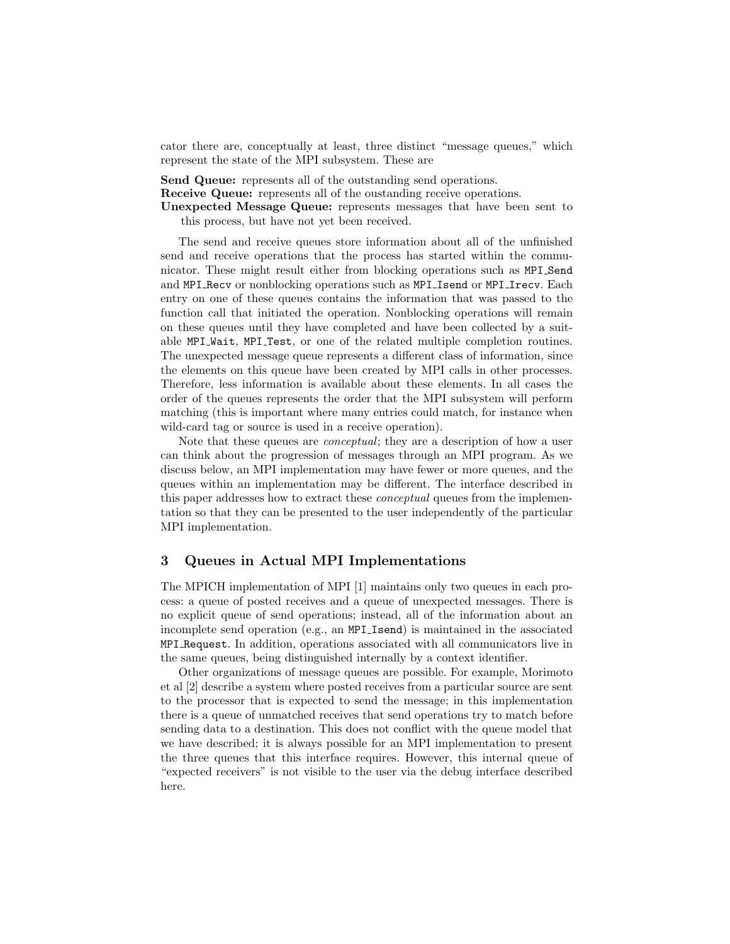cator there are, conceptually at least, three distinct "message queues," which represent the state of the MPI subsystem. These are

Send Queue: represents all of the outstanding send operations.

Receive Queue: represents all of the oustanding receive operations.

Unexpected Message Queue: represents messages that have been sent to this process, but have not yet been received.

The send and receive queues store information about all of the unfinished send and receive operations that the process has started within the communicator. These might result either from blocking operations such as MPI Send and MPI Recv or nonblocking operations such as MPI Isend or MPI Irecv. Each entry on one of these queues contains the information that was passed to the function call that initiated the operation. Nonblocking operations will remain on these queues until they have completed and have been collected by a suitable MPI Wait, MPI Test, or one of the related multiple completion routines. The unexpected message queue represents a different class of information, since the elements on this queue have been created by MPI calls in other processes. Therefore, less information is available about these elements. In all cases the order of the queues represents the order that the MPI subsystem will perform matching (this is important where many entries could match, for instance when wild-card tag or source is used in a receive operation).

Note that these queues are conceptual; they are a description of how a user can think about the progression of messages through an MPI program. As we discuss below, an MPI implementation may have fewer or more queues, and the queues within an implementation may be different. The interface described in this paper addresses how to extract these conceptual queues from the implementation so that they can be presented to the user independently of the particular MPI implementation.

# 3 Queues in Actual MPI Implementations

The MPICH implementation of MPI [1] maintains only two queues in each process: a queue of posted receives and a queue of unexpected messages. There is no explicit queue of send operations; instead, all of the information about an incomplete send operation (e.g., an MPI Isend) is maintained in the associated MPI Request. In addition, operations associated with all communicators live in the same queues, being distinguished internally by a context identifier.

Other organizations of message queues are possible. For example, Morimoto et al [2] describe a system where posted receives from a particular source are sent to the processor that is expected to send the message; in this implementation there is a queue of unmatched receives that send operations try to match before sending data to a destination. This does not conflict with the queue model that we have described; it is always possible for an MPI implementation to present the three queues that this interface requires. However, this internal queue of "expected receivers" is not visible to the user via the debug interface described here.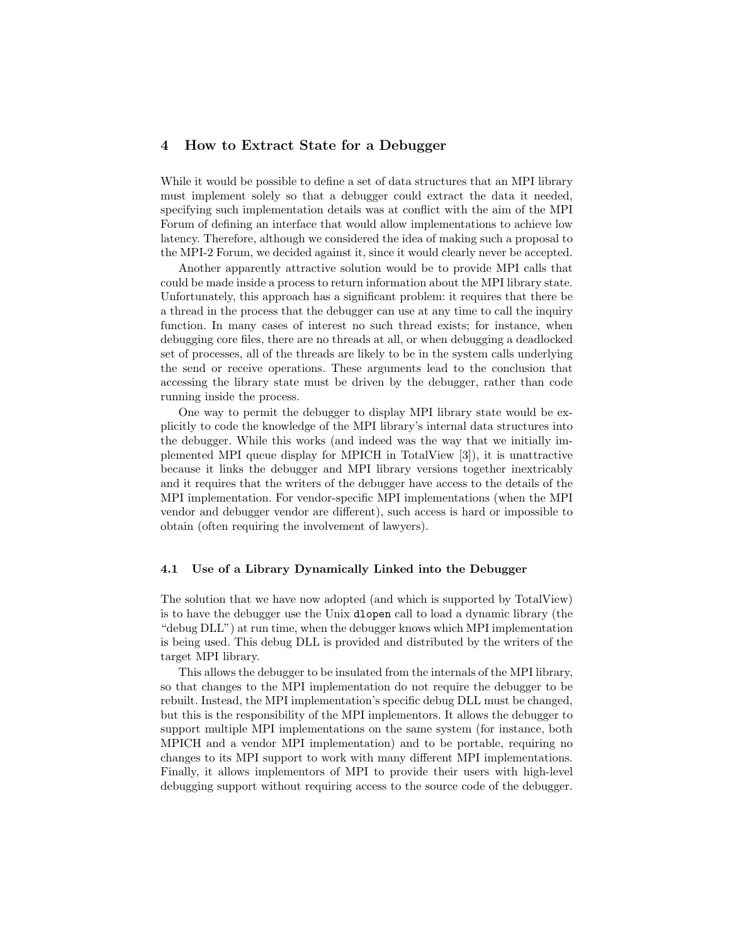# 4 How to Extract State for a Debugger

While it would be possible to define a set of data structures that an MPI library must implement solely so that a debugger could extract the data it needed, specifying such implementation details was at conflict with the aim of the MPI Forum of defining an interface that would allow implementations to achieve low latency. Therefore, although we considered the idea of making such a proposal to the MPI-2 Forum, we decided against it, since it would clearly never be accepted.

Another apparently attractive solution would be to provide MPI calls that could be made inside a process to return information about the MPI library state. Unfortunately, this approach has a significant problem: it requires that there be a thread in the process that the debugger can use at any time to call the inquiry function. In many cases of interest no such thread exists; for instance, when debugging core files, there are no threads at all, or when debugging a deadlocked set of processes, all of the threads are likely to be in the system calls underlying the send or receive operations. These arguments lead to the conclusion that accessing the library state must be driven by the debugger, rather than code running inside the process.

One way to permit the debugger to display MPI library state would be explicitly to code the knowledge of the MPI library's internal data structures into the debugger. While this works (and indeed was the way that we initially implemented MPI queue display for MPICH in TotalView [3]), it is unattractive because it links the debugger and MPI library versions together inextricably and it requires that the writers of the debugger have access to the details of the MPI implementation. For vendor-specific MPI implementations (when the MPI vendor and debugger vendor are different), such access is hard or impossible to obtain (often requiring the involvement of lawyers).

#### 4.1 Use of a Library Dynamically Linked into the Debugger

The solution that we have now adopted (and which is supported by TotalView) is to have the debugger use the Unix dlopen call to load a dynamic library (the "debug DLL") at run time, when the debugger knows which MPI implementation is being used. This debug DLL is provided and distributed by the writers of the target MPI library.

This allows the debugger to be insulated from the internals of the MPI library, so that changes to the MPI implementation do not require the debugger to be rebuilt. Instead, the MPI implementation's specific debug DLL must be changed, but this is the responsibility of the MPI implementors. It allows the debugger to support multiple MPI implementations on the same system (for instance, both MPICH and a vendor MPI implementation) and to be portable, requiring no changes to its MPI support to work with many different MPI implementations. Finally, it allows implementors of MPI to provide their users with high-level debugging support without requiring access to the source code of the debugger.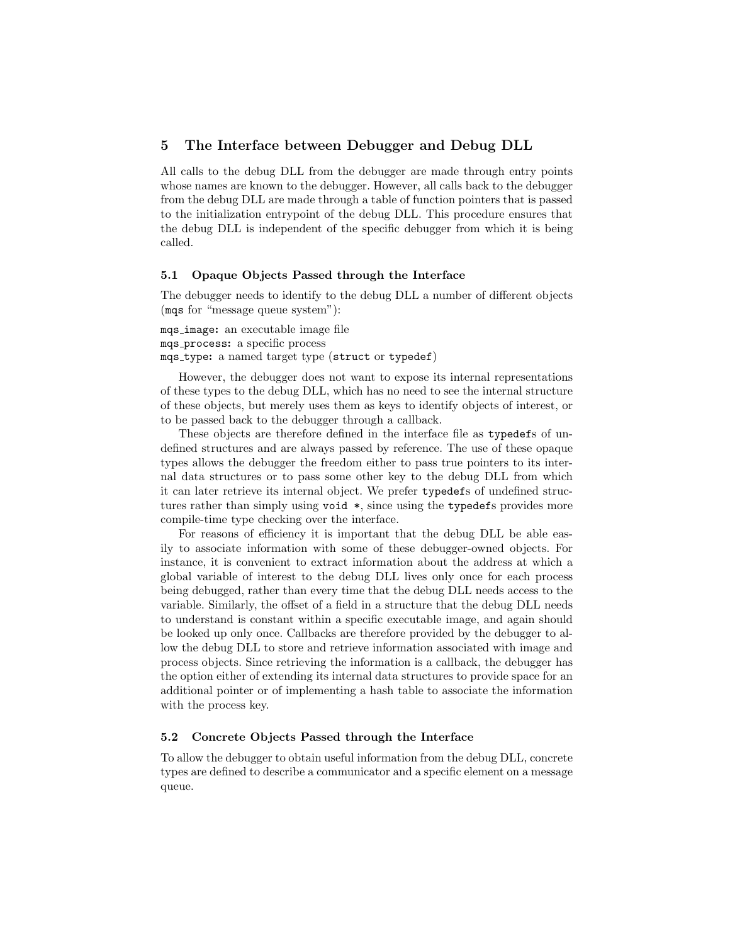### 5 The Interface between Debugger and Debug DLL

All calls to the debug DLL from the debugger are made through entry points whose names are known to the debugger. However, all calls back to the debugger from the debug DLL are made through a table of function pointers that is passed to the initialization entrypoint of the debug DLL. This procedure ensures that the debug DLL is independent of the specific debugger from which it is being called.

### 5.1 Opaque Objects Passed through the Interface

The debugger needs to identify to the debug DLL a number of different objects (mqs for "message queue system"):

mqs image: an executable image file mqs process: a specific process mqs type: a named target type (struct or typedef)

However, the debugger does not want to expose its internal representations of these types to the debug DLL, which has no need to see the internal structure of these objects, but merely uses them as keys to identify objects of interest, or to be passed back to the debugger through a callback.

These objects are therefore defined in the interface file as typedefs of undefined structures and are always passed by reference. The use of these opaque types allows the debugger the freedom either to pass true pointers to its internal data structures or to pass some other key to the debug DLL from which it can later retrieve its internal object. We prefer typedefs of undefined structures rather than simply using void \*, since using the typedefs provides more compile-time type checking over the interface.

For reasons of efficiency it is important that the debug DLL be able easily to associate information with some of these debugger-owned objects. For instance, it is convenient to extract information about the address at which a global variable of interest to the debug DLL lives only once for each process being debugged, rather than every time that the debug DLL needs access to the variable. Similarly, the offset of a field in a structure that the debug DLL needs to understand is constant within a specific executable image, and again should be looked up only once. Callbacks are therefore provided by the debugger to allow the debug DLL to store and retrieve information associated with image and process objects. Since retrieving the information is a callback, the debugger has the option either of extending its internal data structures to provide space for an additional pointer or of implementing a hash table to associate the information with the process key.

### 5.2 Concrete Objects Passed through the Interface

To allow the debugger to obtain useful information from the debug DLL, concrete types are defined to describe a communicator and a specific element on a message queue.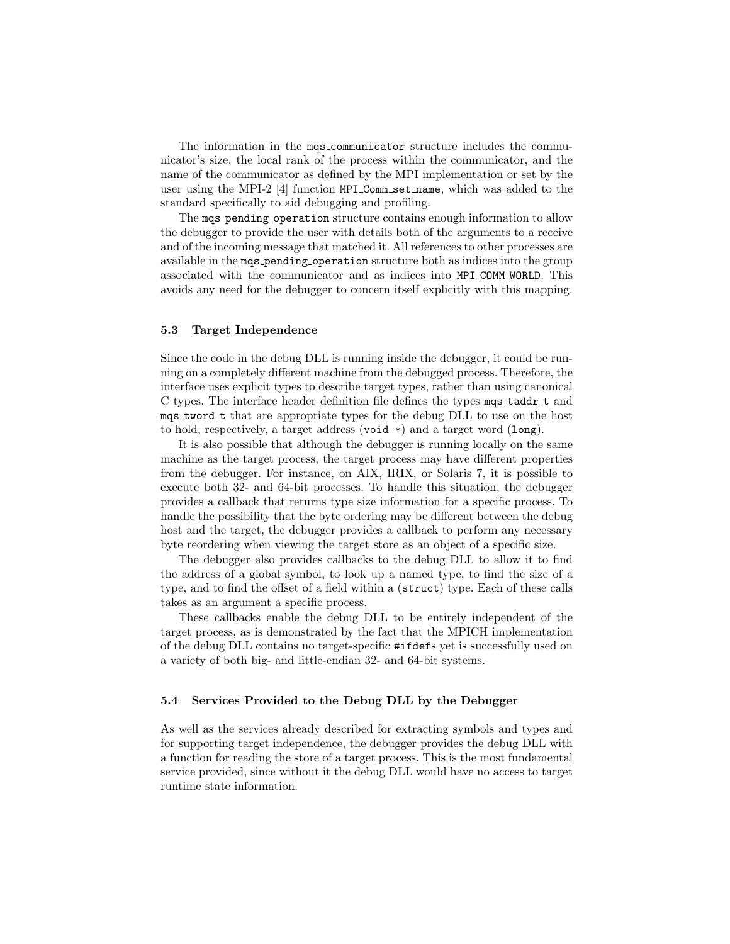The information in the mqs communicator structure includes the communicator's size, the local rank of the process within the communicator, and the name of the communicator as defined by the MPI implementation or set by the user using the MPI-2 [4] function MPI Comm set name, which was added to the standard specifically to aid debugging and profiling.

The mqs pending operation structure contains enough information to allow the debugger to provide the user with details both of the arguments to a receive and of the incoming message that matched it. All references to other processes are available in the mqs pending operation structure both as indices into the group associated with the communicator and as indices into MPI COMM WORLD. This avoids any need for the debugger to concern itself explicitly with this mapping.

#### 5.3 Target Independence

Since the code in the debug DLL is running inside the debugger, it could be running on a completely different machine from the debugged process. Therefore, the interface uses explicit types to describe target types, rather than using canonical C types. The interface header definition file defines the types mqs taddr t and mqs tword t that are appropriate types for the debug DLL to use on the host to hold, respectively, a target address (void \*) and a target word (long).

It is also possible that although the debugger is running locally on the same machine as the target process, the target process may have different properties from the debugger. For instance, on AIX, IRIX, or Solaris 7, it is possible to execute both 32- and 64-bit processes. To handle this situation, the debugger provides a callback that returns type size information for a specific process. To handle the possibility that the byte ordering may be different between the debug host and the target, the debugger provides a callback to perform any necessary byte reordering when viewing the target store as an object of a specific size.

The debugger also provides callbacks to the debug DLL to allow it to find the address of a global symbol, to look up a named type, to find the size of a type, and to find the offset of a field within a (struct) type. Each of these calls takes as an argument a specific process.

These callbacks enable the debug DLL to be entirely independent of the target process, as is demonstrated by the fact that the MPICH implementation of the debug DLL contains no target-specific #ifdefs yet is successfully used on a variety of both big- and little-endian 32- and 64-bit systems.

### 5.4 Services Provided to the Debug DLL by the Debugger

As well as the services already described for extracting symbols and types and for supporting target independence, the debugger provides the debug DLL with a function for reading the store of a target process. This is the most fundamental service provided, since without it the debug DLL would have no access to target runtime state information.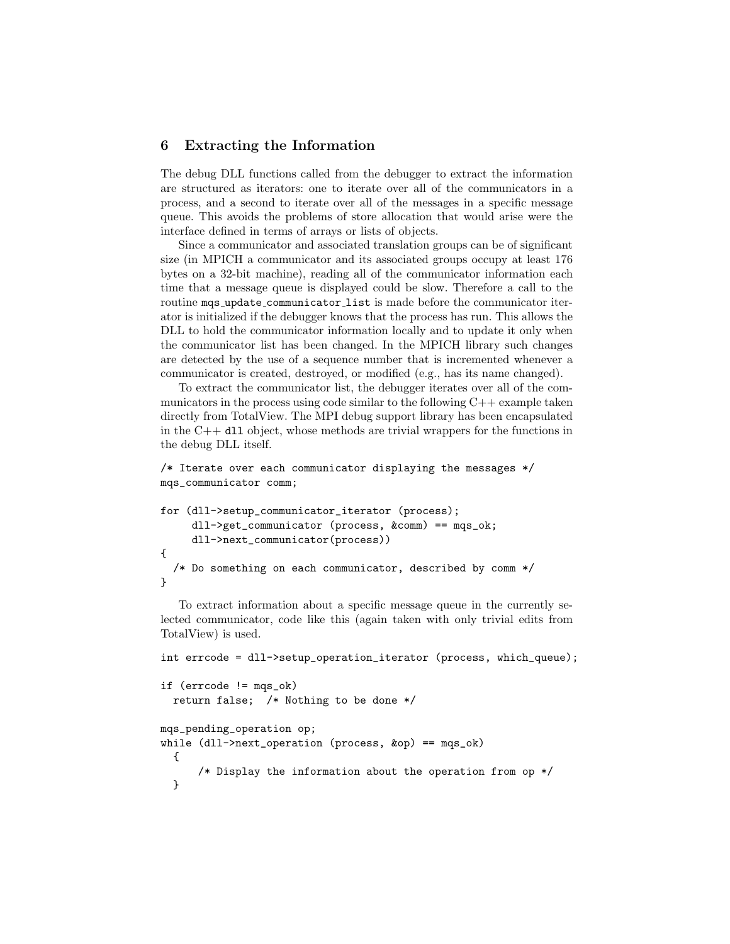### 6 Extracting the Information

The debug DLL functions called from the debugger to extract the information are structured as iterators: one to iterate over all of the communicators in a process, and a second to iterate over all of the messages in a specific message queue. This avoids the problems of store allocation that would arise were the interface defined in terms of arrays or lists of objects.

Since a communicator and associated translation groups can be of significant size (in MPICH a communicator and its associated groups occupy at least 176 bytes on a 32-bit machine), reading all of the communicator information each time that a message queue is displayed could be slow. Therefore a call to the routine mqs update communicator list is made before the communicator iterator is initialized if the debugger knows that the process has run. This allows the DLL to hold the communicator information locally and to update it only when the communicator list has been changed. In the MPICH library such changes are detected by the use of a sequence number that is incremented whenever a communicator is created, destroyed, or modified (e.g., has its name changed).

To extract the communicator list, the debugger iterates over all of the communicators in the process using code similar to the following  $C++$  example taken directly from TotalView. The MPI debug support library has been encapsulated in the C++ dll object, whose methods are trivial wrappers for the functions in the debug DLL itself.

```
/* Iterate over each communicator displaying the messages */
mqs_communicator comm;
```

```
for (dll->setup_communicator_iterator (process);
     dll->get_communicator (process, &comm) == mqs_ok;
    dll->next_communicator(process))
{
  /* Do something on each communicator, described by comm */
}
```
To extract information about a specific message queue in the currently selected communicator, code like this (again taken with only trivial edits from TotalView) is used.

```
int errcode = dll->setup_operation_iterator (process, which_queue);
if (errcode != mqs_ok)
 return false; /* Nothing to be done */
mqs_pending_operation op;
while (dll->next_operation (process, &op) == mqs_ok)
  {
      /* Display the information about the operation from op */
  }
```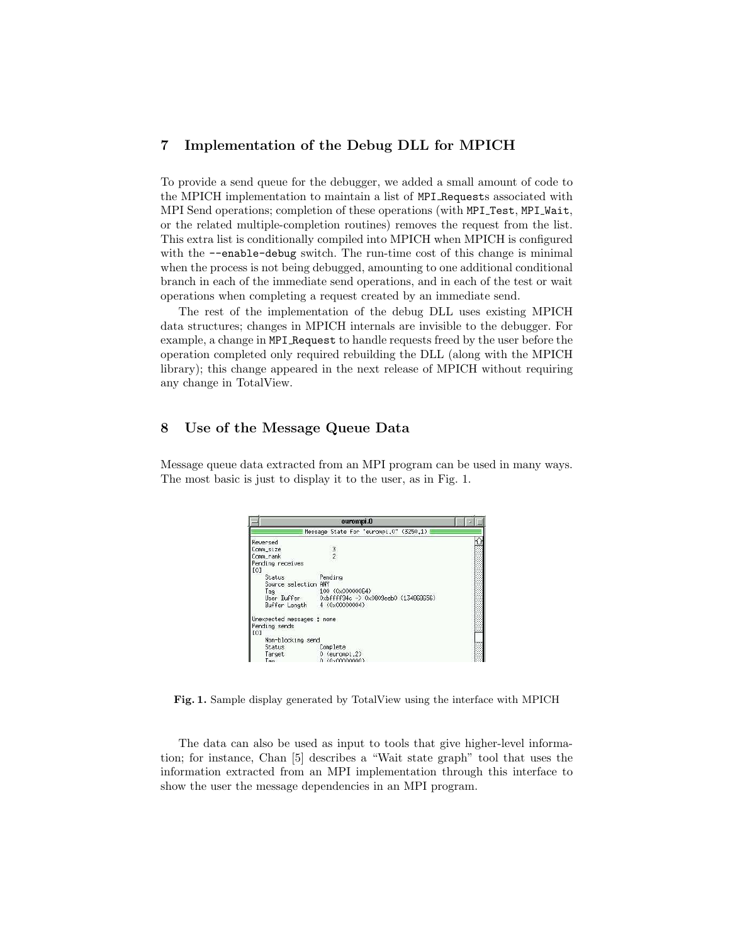# 7 Implementation of the Debug DLL for MPICH

To provide a send queue for the debugger, we added a small amount of code to the MPICH implementation to maintain a list of MPI Requests associated with MPI Send operations; completion of these operations (with MPI Test, MPI Wait, or the related multiple-completion routines) removes the request from the list. This extra list is conditionally compiled into MPICH when MPICH is configured with the --enable-debug switch. The run-time cost of this change is minimal when the process is not being debugged, amounting to one additional conditional branch in each of the immediate send operations, and in each of the test or wait operations when completing a request created by an immediate send.

The rest of the implementation of the debug DLL uses existing MPICH data structures; changes in MPICH internals are invisible to the debugger. For example, a change in MPI Request to handle requests freed by the user before the operation completed only required rebuilding the DLL (along with the MPICH library); this change appeared in the next release of MPICH without requiring any change in TotalView.

# 8 Use of the Message Queue Data

Message queue data extracted from an MPI program can be used in many ways. The most basic is just to display it to the user, as in Fig. 1.

| eurompi.0                                          |                                        |  |
|----------------------------------------------------|----------------------------------------|--|
|                                                    | Message State for "eurompi.0" (3250.1) |  |
| Reversed                                           |                                        |  |
| Comm size                                          |                                        |  |
| Comm_rank                                          | $\frac{3}{2}$                          |  |
| Pending receives<br>[0]                            |                                        |  |
| Status<br>Source selection ANY<br>Tag              | Pending<br>100 (0x00000064)            |  |
|                                                    |                                        |  |
|                                                    | Buffer Length 4 (0x00000004)           |  |
| Unexpected messages : none<br>Pending sends<br>[0] |                                        |  |
| Non-blocking send                                  |                                        |  |
| Status                                             | Complete                               |  |
| Target                                             | $0$ (eurompi.2)                        |  |
| Tao                                                |                                        |  |

Fig. 1. Sample display generated by TotalView using the interface with MPICH

The data can also be used as input to tools that give higher-level information; for instance, Chan [5] describes a "Wait state graph" tool that uses the information extracted from an MPI implementation through this interface to show the user the message dependencies in an MPI program.